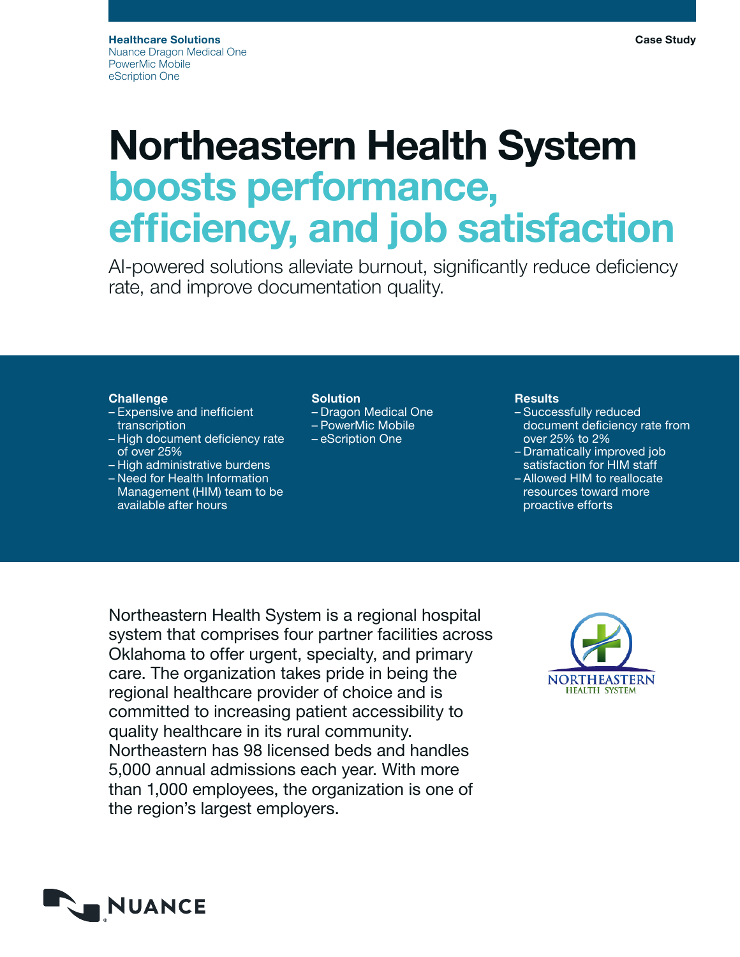# Northeastern Health System boosts performance, efficiency, and job satisfaction

AI-powered solutions alleviate burnout, significantly reduce deficiency rate, and improve documentation quality.

## Challenge

- Expensive and inefficient transcription
- High document deficiency rate of over 25%
- High administrative burdens
- Need for Health Information Management (HIM) team to be available after hours

# Solution

- Dragon Medical One
- PowerMic Mobile
- eScription One

### **Results**

- Successfully reduced document deficiency rate from over 25% to 2%
- Dramatically improved job satisfaction for HIM staff
- Allowed HIM to reallocate resources toward more proactive efforts

Northeastern Health System is a regional hospital system that comprises four partner facilities across Oklahoma to offer urgent, specialty, and primary care. The organization takes pride in being the regional healthcare provider of choice and is committed to increasing patient accessibility to quality healthcare in its rural community. Northeastern has 98 licensed beds and handles 5,000 annual admissions each year. With more than 1,000 employees, the organization is one of the region's largest employers.



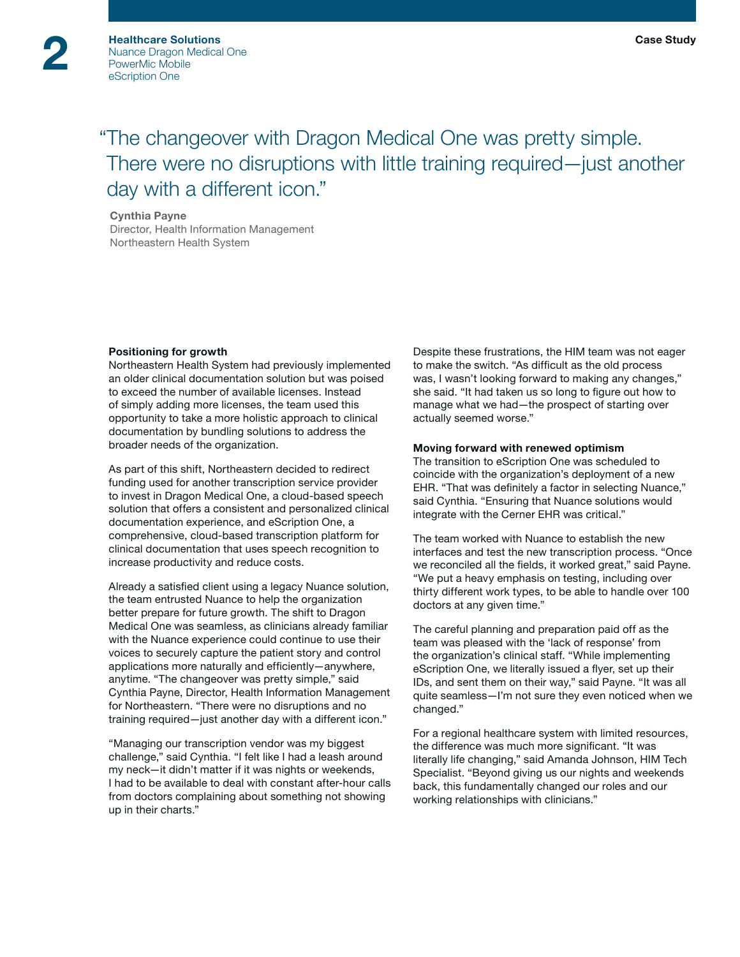# "The changeover with Dragon Medical One was pretty simple. There were no disruptions with little training required—just another day with a different icon."

#### Cynthia Payne

Director, Health Information Management Northeastern Health System

#### Positioning for growth

Northeastern Health System had previously implemented an older clinical documentation solution but was poised to exceed the number of available licenses. Instead of simply adding more licenses, the team used this opportunity to take a more holistic approach to clinical documentation by bundling solutions to address the broader needs of the organization.

As part of this shift, Northeastern decided to redirect funding used for another transcription service provider to invest in Dragon Medical One, a cloud-based speech solution that offers a consistent and personalized clinical documentation experience, and eScription One, a comprehensive, cloud-based transcription platform for clinical documentation that uses speech recognition to increase productivity and reduce costs.

Already a satisfied client using a legacy Nuance solution, the team entrusted Nuance to help the organization better prepare for future growth. The shift to Dragon Medical One was seamless, as clinicians already familiar with the Nuance experience could continue to use their voices to securely capture the patient story and control applications more naturally and efficiently—anywhere, anytime. "The changeover was pretty simple," said Cynthia Payne, Director, Health Information Management for Northeastern. "There were no disruptions and no training required—just another day with a different icon."

"Managing our transcription vendor was my biggest challenge," said Cynthia. "I felt like I had a leash around my neck—it didn't matter if it was nights or weekends, I had to be available to deal with constant after-hour calls from doctors complaining about something not showing up in their charts."

Despite these frustrations, the HIM team was not eager to make the switch. "As difficult as the old process was, I wasn't looking forward to making any changes," she said. "It had taken us so long to figure out how to manage what we had—the prospect of starting over actually seemed worse."

#### Moving forward with renewed optimism

The transition to eScription One was scheduled to coincide with the organization's deployment of a new EHR. "That was definitely a factor in selecting Nuance," said Cynthia. "Ensuring that Nuance solutions would integrate with the Cerner EHR was critical."

The team worked with Nuance to establish the new interfaces and test the new transcription process. "Once we reconciled all the fields, it worked great," said Payne. "We put a heavy emphasis on testing, including over thirty different work types, to be able to handle over 100 doctors at any given time."

The careful planning and preparation paid off as the team was pleased with the 'lack of response' from the organization's clinical staff. "While implementing eScription One, we literally issued a flyer, set up their IDs, and sent them on their way," said Payne. "It was all quite seamless—I'm not sure they even noticed when we changed."

For a regional healthcare system with limited resources, the difference was much more significant. "It was literally life changing," said Amanda Johnson, HIM Tech Specialist. "Beyond giving us our nights and weekends back, this fundamentally changed our roles and our working relationships with clinicians."